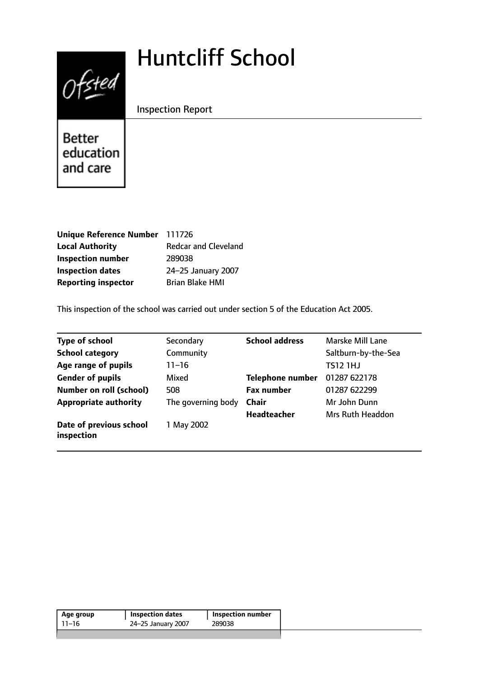# Huntcliff School



Inspection Report

Better education and care

| Unique Reference Number 111726 |                             |
|--------------------------------|-----------------------------|
| <b>Local Authority</b>         | <b>Redcar and Cleveland</b> |
| <b>Inspection number</b>       | 289038                      |
| <b>Inspection dates</b>        | 24-25 January 2007          |
| <b>Reporting inspector</b>     | <b>Brian Blake HMI</b>      |

This inspection of the school was carried out under section 5 of the Education Act 2005.

| <b>Type of school</b>                 | Secondary          | <b>School address</b>   | Marske Mill Lane        |
|---------------------------------------|--------------------|-------------------------|-------------------------|
| <b>School category</b>                | Community          |                         | Saltburn-by-the-Sea     |
| Age range of pupils                   | $11 - 16$          |                         | <b>TS12 1HJ</b>         |
| <b>Gender of pupils</b>               | Mixed              | <b>Telephone number</b> | 01287 622178            |
| <b>Number on roll (school)</b>        | 508                | <b>Fax number</b>       | 01287 622299            |
| <b>Appropriate authority</b>          | The governing body | <b>Chair</b>            | Mr John Dunn            |
|                                       |                    | <b>Headteacher</b>      | <b>Mrs Ruth Headdon</b> |
| Date of previous school<br>inspection | 1 May 2002         |                         |                         |

|  | <b>Inspection number</b> | <b>Inspection dates</b> | Age group |
|--|--------------------------|-------------------------|-----------|
|  | 289038                   | 24-25 January 2007      | 11–16     |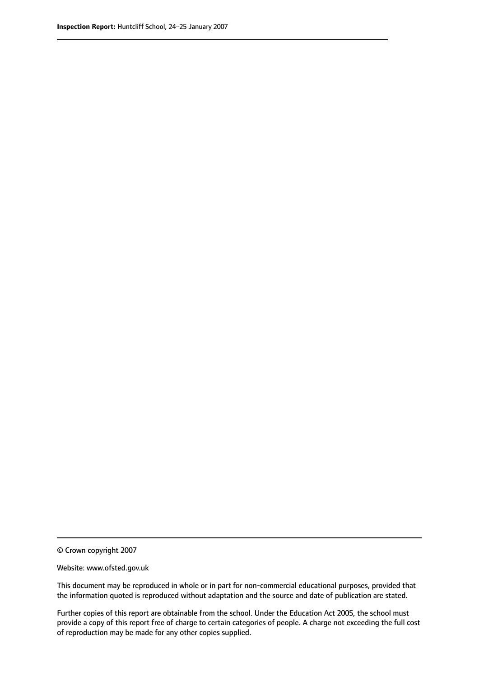© Crown copyright 2007

Website: www.ofsted.gov.uk

This document may be reproduced in whole or in part for non-commercial educational purposes, provided that the information quoted is reproduced without adaptation and the source and date of publication are stated.

Further copies of this report are obtainable from the school. Under the Education Act 2005, the school must provide a copy of this report free of charge to certain categories of people. A charge not exceeding the full cost of reproduction may be made for any other copies supplied.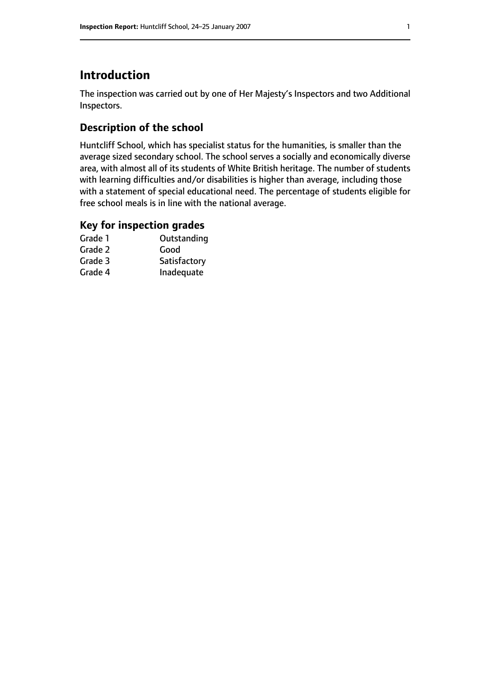# **Introduction**

The inspection was carried out by one of Her Majesty's Inspectors and two Additional Inspectors.

## **Description of the school**

Huntcliff School, which has specialist status for the humanities, is smaller than the average sized secondary school. The school serves a socially and economically diverse area, with almost all of its students of White British heritage. The number of students with learning difficulties and/or disabilities is higher than average, including those with a statement of special educational need. The percentage of students eligible for free school meals is in line with the national average.

## **Key for inspection grades**

| Grade 1 | Outstanding  |
|---------|--------------|
| Grade 2 | Good         |
| Grade 3 | Satisfactory |
| Grade 4 | Inadequate   |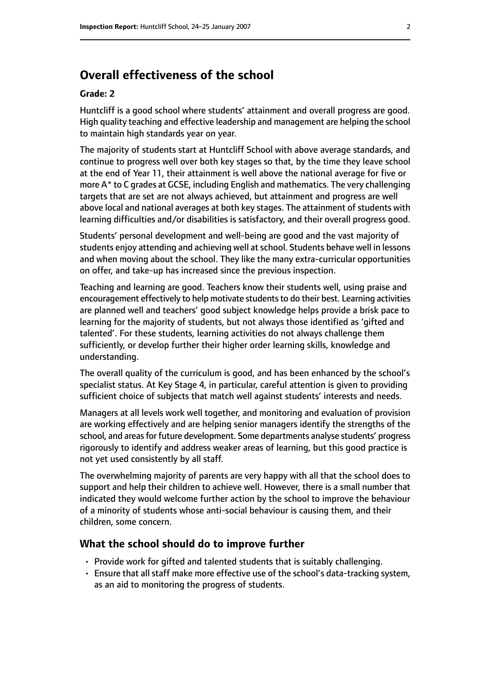## **Overall effectiveness of the school**

#### **Grade: 2**

Huntcliff is a good school where students' attainment and overall progress are good. High quality teaching and effective leadership and management are helping the school to maintain high standards year on year.

The majority of students start at Huntcliff School with above average standards, and continue to progress well over both key stages so that, by the time they leave school at the end of Year 11, their attainment is well above the national average for five or more A\* to C grades at GCSE, including English and mathematics. The very challenging targets that are set are not always achieved, but attainment and progress are well above local and national averages at both key stages. The attainment of students with learning difficulties and/or disabilities is satisfactory, and their overall progress good.

Students' personal development and well-being are good and the vast majority of students enjoy attending and achieving well at school. Students behave well in lessons and when moving about the school. They like the many extra-curricular opportunities on offer, and take-up has increased since the previous inspection.

Teaching and learning are good. Teachers know their students well, using praise and encouragement effectively to help motivate students to do their best. Learning activities are planned well and teachers' good subject knowledge helps provide a brisk pace to learning for the majority of students, but not always those identified as 'gifted and talented'. For these students, learning activities do not always challenge them sufficiently, or develop further their higher order learning skills, knowledge and understanding.

The overall quality of the curriculum is good, and has been enhanced by the school's specialist status. At Key Stage 4, in particular, careful attention is given to providing sufficient choice of subjects that match well against students' interests and needs.

Managers at all levels work well together, and monitoring and evaluation of provision are working effectively and are helping senior managers identify the strengths of the school, and areas for future development. Some departments analyse students' progress rigorously to identify and address weaker areas of learning, but this good practice is not yet used consistently by all staff.

The overwhelming majority of parents are very happy with all that the school does to support and help their children to achieve well. However, there is a small number that indicated they would welcome further action by the school to improve the behaviour of a minority of students whose anti-social behaviour is causing them, and their children, some concern.

#### **What the school should do to improve further**

- Provide work for gifted and talented students that is suitably challenging.
- Ensure that all staff make more effective use of the school's data-tracking system, as an aid to monitoring the progress of students.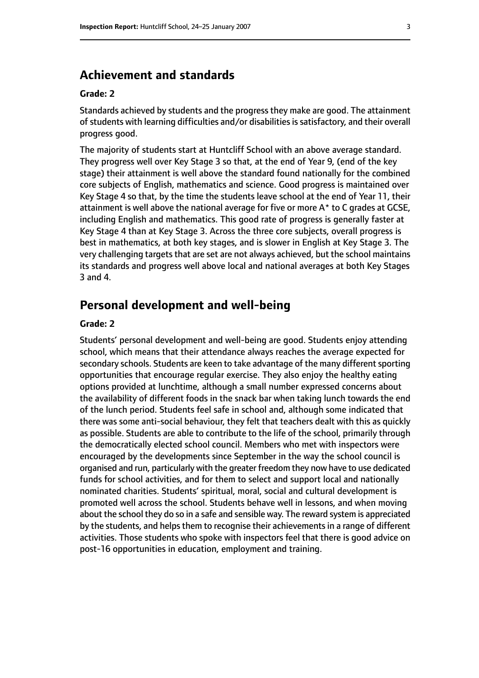## **Achievement and standards**

#### **Grade: 2**

Standards achieved by students and the progress they make are good. The attainment of students with learning difficulties and/or disabilities is satisfactory, and their overall progress good.

The majority of students start at Huntcliff School with an above average standard. They progress well over Key Stage 3 so that, at the end of Year 9, (end of the key stage) their attainment is well above the standard found nationally for the combined core subjects of English, mathematics and science. Good progress is maintained over Key Stage 4 so that, by the time the students leave school at the end of Year 11, their attainment is well above the national average for five or more  $A^*$  to C grades at GCSE, including English and mathematics. This good rate of progress is generally faster at Key Stage 4 than at Key Stage 3. Across the three core subjects, overall progress is best in mathematics, at both key stages, and is slower in English at Key Stage 3. The very challenging targets that are set are not always achieved, but the school maintains its standards and progress well above local and national averages at both Key Stages 3 and 4.

## **Personal development and well-being**

#### **Grade: 2**

Students' personal development and well-being are good. Students enjoy attending school, which means that their attendance always reaches the average expected for secondary schools. Students are keen to take advantage of the many different sporting opportunities that encourage regular exercise. They also enjoy the healthy eating options provided at lunchtime, although a small number expressed concerns about the availability of different foods in the snack bar when taking lunch towards the end of the lunch period. Students feel safe in school and, although some indicated that there was some anti-social behaviour, they felt that teachers dealt with this as quickly as possible. Students are able to contribute to the life of the school, primarily through the democratically elected school council. Members who met with inspectors were encouraged by the developments since September in the way the school council is organised and run, particularly with the greater freedom they now have to use dedicated funds for school activities, and for them to select and support local and nationally nominated charities. Students' spiritual, moral, social and cultural development is promoted well across the school. Students behave well in lessons, and when moving about the school they do so in a safe and sensible way. The reward system is appreciated by the students, and helps them to recognise their achievements in a range of different activities. Those students who spoke with inspectors feel that there is good advice on post-16 opportunities in education, employment and training.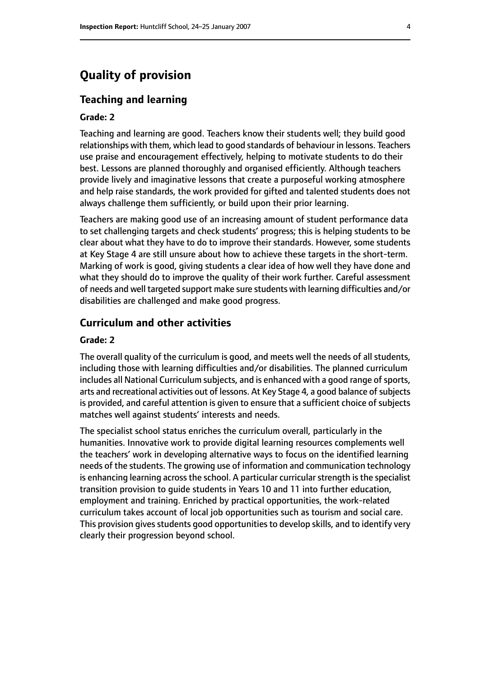# **Quality of provision**

#### **Teaching and learning**

#### **Grade: 2**

Teaching and learning are good. Teachers know their students well; they build good relationships with them, which lead to good standards of behaviour in lessons. Teachers use praise and encouragement effectively, helping to motivate students to do their best. Lessons are planned thoroughly and organised efficiently. Although teachers provide lively and imaginative lessons that create a purposeful working atmosphere and help raise standards, the work provided for gifted and talented students does not always challenge them sufficiently, or build upon their prior learning.

Teachers are making good use of an increasing amount of student performance data to set challenging targets and check students' progress; this is helping students to be clear about what they have to do to improve their standards. However, some students at Key Stage 4 are still unsure about how to achieve these targets in the short-term. Marking of work is good, giving students a clear idea of how well they have done and what they should do to improve the quality of their work further. Careful assessment of needs and well targeted support make sure students with learning difficulties and/or disabilities are challenged and make good progress.

#### **Curriculum and other activities**

#### **Grade: 2**

The overall quality of the curriculum is good, and meets well the needs of all students, including those with learning difficulties and/or disabilities. The planned curriculum includes all National Curriculum subjects, and is enhanced with a good range of sports, arts and recreational activities out of lessons. At Key Stage 4, a good balance of subjects is provided, and careful attention is given to ensure that a sufficient choice of subjects matches well against students' interests and needs.

The specialist school status enriches the curriculum overall, particularly in the humanities. Innovative work to provide digital learning resources complements well the teachers' work in developing alternative ways to focus on the identified learning needs of the students. The growing use of information and communication technology is enhancing learning across the school. A particular curricular strength is the specialist transition provision to guide students in Years 10 and 11 into further education, employment and training. Enriched by practical opportunities, the work-related curriculum takes account of local job opportunities such as tourism and social care. This provision gives students good opportunities to develop skills, and to identify very clearly their progression beyond school.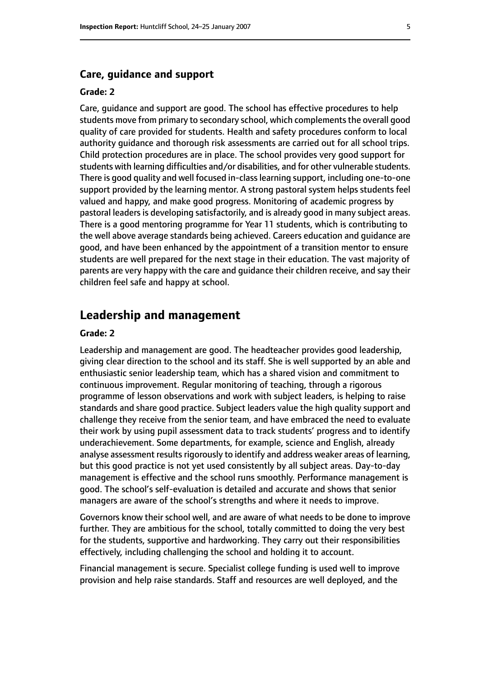#### **Care, guidance and support**

#### **Grade: 2**

Care, guidance and support are good. The school has effective procedures to help students move from primary to secondary school, which complements the overall good quality of care provided for students. Health and safety procedures conform to local authority guidance and thorough risk assessments are carried out for all school trips. Child protection procedures are in place. The school provides very good support for students with learning difficulties and/or disabilities, and for other vulnerable students. There is good quality and well focused in-classlearning support, including one-to-one support provided by the learning mentor. A strong pastoral system helps students feel valued and happy, and make good progress. Monitoring of academic progress by pastoral leaders is developing satisfactorily, and is already good in many subject areas. There is a good mentoring programme for Year 11 students, which is contributing to the well above average standards being achieved. Careers education and guidance are good, and have been enhanced by the appointment of a transition mentor to ensure students are well prepared for the next stage in their education. The vast majority of parents are very happy with the care and guidance their children receive, and say their children feel safe and happy at school.

## **Leadership and management**

#### **Grade: 2**

Leadership and management are good. The headteacher provides good leadership, giving clear direction to the school and its staff. She is well supported by an able and enthusiastic senior leadership team, which has a shared vision and commitment to continuous improvement. Regular monitoring of teaching, through a rigorous programme of lesson observations and work with subject leaders, is helping to raise standards and share good practice. Subject leaders value the high quality support and challenge they receive from the senior team, and have embraced the need to evaluate their work by using pupil assessment data to track students' progress and to identify underachievement. Some departments, for example, science and English, already analyse assessment results rigorously to identify and address weaker areas of learning, but this good practice is not yet used consistently by all subject areas. Day-to-day management is effective and the school runs smoothly. Performance management is good. The school's self-evaluation is detailed and accurate and shows that senior managers are aware of the school's strengths and where it needs to improve.

Governors know their school well, and are aware of what needs to be done to improve further. They are ambitious for the school, totally committed to doing the very best for the students, supportive and hardworking. They carry out their responsibilities effectively, including challenging the school and holding it to account.

Financial management is secure. Specialist college funding is used well to improve provision and help raise standards. Staff and resources are well deployed, and the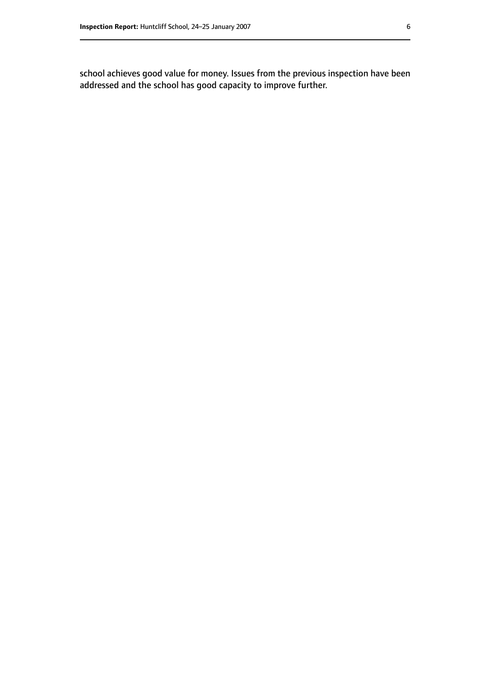school achieves good value for money. Issues from the previous inspection have been addressed and the school has good capacity to improve further.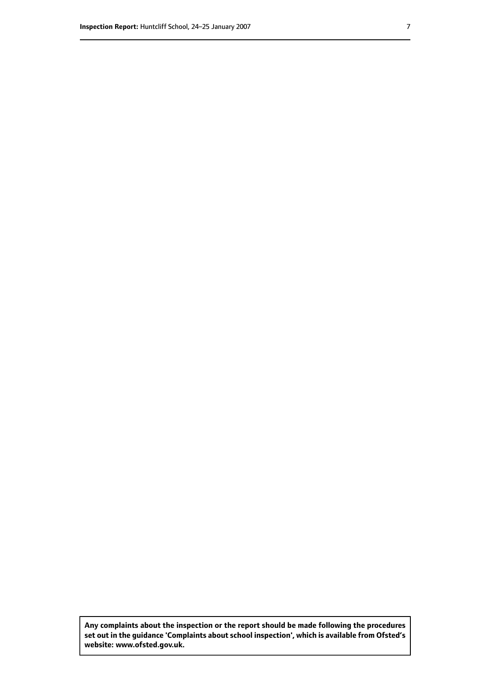**Any complaints about the inspection or the report should be made following the procedures set out inthe guidance 'Complaints about school inspection', whichis available from Ofsted's website: www.ofsted.gov.uk.**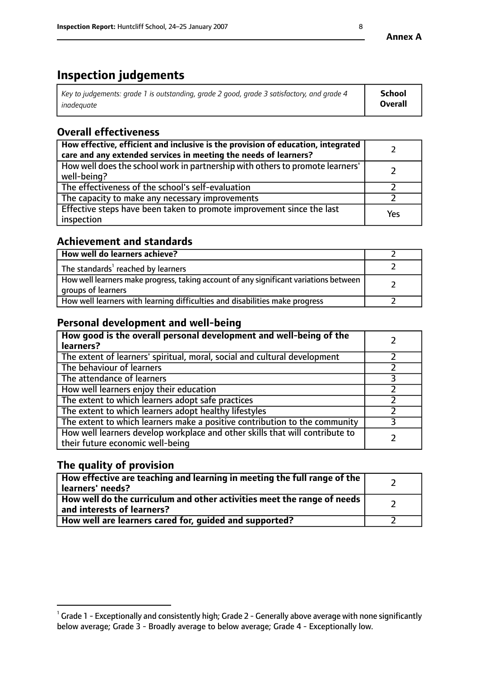# **Inspection judgements**

| Key to judgements: grade 1 is outstanding, grade 2 good, grade 3 satisfactory, and grade 4 | School  |
|--------------------------------------------------------------------------------------------|---------|
| inadeauate                                                                                 | Overall |

# **Overall effectiveness**

| How effective, efficient and inclusive is the provision of education, integrated<br>care and any extended services in meeting the needs of learners? |     |
|------------------------------------------------------------------------------------------------------------------------------------------------------|-----|
| How well does the school work in partnership with others to promote learners'<br>well-being?                                                         |     |
| The effectiveness of the school's self-evaluation                                                                                                    |     |
| The capacity to make any necessary improvements                                                                                                      |     |
| Effective steps have been taken to promote improvement since the last<br>inspection                                                                  | Yes |

## **Achievement and standards**

| How well do learners achieve?                                                                               |  |
|-------------------------------------------------------------------------------------------------------------|--|
| The standards <sup>1</sup> reached by learners                                                              |  |
| How well learners make progress, taking account of any significant variations between<br>groups of learners |  |
| How well learners with learning difficulties and disabilities make progress                                 |  |

## **Personal development and well-being**

| How good is the overall personal development and well-being of the<br>learners?                                  |  |
|------------------------------------------------------------------------------------------------------------------|--|
| The extent of learners' spiritual, moral, social and cultural development                                        |  |
| The behaviour of learners                                                                                        |  |
| The attendance of learners                                                                                       |  |
| How well learners enjoy their education                                                                          |  |
| The extent to which learners adopt safe practices                                                                |  |
| The extent to which learners adopt healthy lifestyles                                                            |  |
| The extent to which learners make a positive contribution to the community                                       |  |
| How well learners develop workplace and other skills that will contribute to<br>their future economic well-being |  |

# **The quality of provision**

| How effective are teaching and learning in meeting the full range of the<br>learners' needs?          |  |
|-------------------------------------------------------------------------------------------------------|--|
| How well do the curriculum and other activities meet the range of needs<br>and interests of learners? |  |
| How well are learners cared for, quided and supported?                                                |  |

 $^1$  Grade 1 - Exceptionally and consistently high; Grade 2 - Generally above average with none significantly below average; Grade 3 - Broadly average to below average; Grade 4 - Exceptionally low.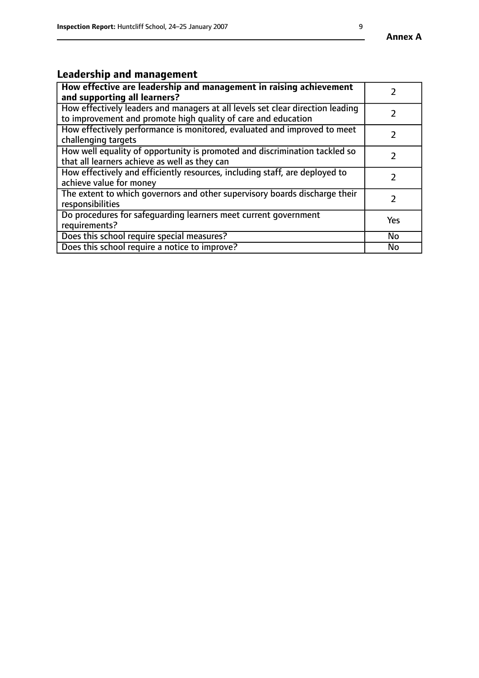#### **Annex A**

# **Leadership and management**

| How effective are leadership and management in raising achievement<br>and supporting all learners?                                              |               |
|-------------------------------------------------------------------------------------------------------------------------------------------------|---------------|
| How effectively leaders and managers at all levels set clear direction leading<br>to improvement and promote high quality of care and education |               |
| How effectively performance is monitored, evaluated and improved to meet<br>challenging targets                                                 | $\mathcal{L}$ |
| How well equality of opportunity is promoted and discrimination tackled so<br>that all learners achieve as well as they can                     |               |
| How effectively and efficiently resources, including staff, are deployed to<br>achieve value for money                                          | $\mathcal{P}$ |
| The extent to which governors and other supervisory boards discharge their<br>responsibilities                                                  |               |
| Do procedures for safequarding learners meet current government<br>requirements?                                                                | Yes           |
| Does this school require special measures?                                                                                                      | <b>No</b>     |
| Does this school require a notice to improve?                                                                                                   | No            |